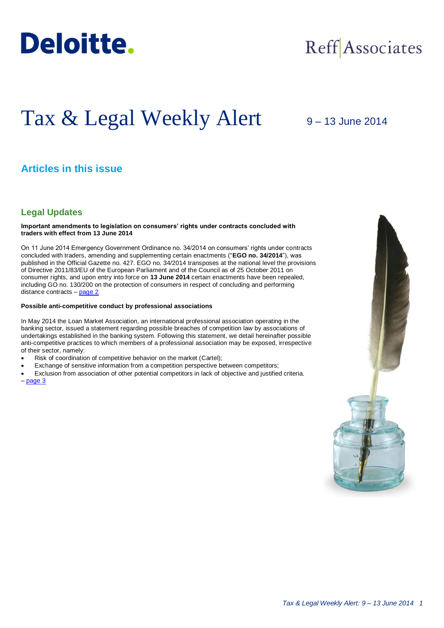

## Reff Associates

# Tax & Legal Weekly Alert

## 9 – 13 June 2014

## **Articles in this issue**

## **Legal Updates**

**Important amendments to legislation on consumers' rights under contracts concluded with traders with effect from 13 June 2014**

On 11 June 2014 Emergency Government Ordinance no. 34/2014 on consumers' rights under contracts concluded with traders, amending and supplementing certain enactments ("**EGO no. 34/2014**"), was published in the Official Gazette no. 427. EGO no. 34/2014 transposes at the national level the provisions of Directive 2011/83/EU of the European Parliament and of the Council as of 25 October 2011 on consumer rights, and upon entry into force on **13 June 2014** certain enactments have been repealed, including GO no. 130/200 on the protection of consumers in respect of concluding and performing distance contracts - [page 2](#page-1-0)

#### **Possible anti-competitive conduct by professional associations**

In May 2014 the Loan Market Association, an international professional association operating in the banking sector, issued a statement regarding possible breaches of competition law by associations of undertakings established in the banking system. Following this statement, we detail hereinafter possible anti-competitive practices to which members of a professional association may be exposed, irrespective of their sector, namely:

- Risk of coordination of competitive behavior on the market (Cartel);
- Exchange of sensitive information from a competition perspective between competitors;
- Exclusion from association of other potential competitors in lack of objective and justified criteria. – [page 3](#page-2-0)

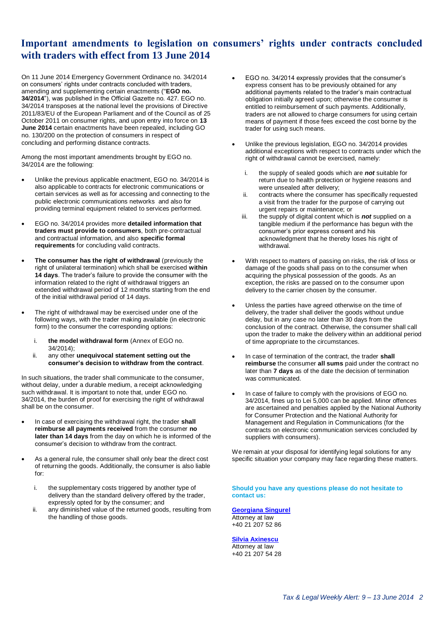## **Important amendments to legislation on consumers' rights under contracts concluded with traders with effect from 13 June 2014**

On 11 June 2014 Emergency Government Ordinance no. 34/2014 on consumers' rights under contracts concluded with traders, amending and supplementing certain enactments ("**EGO no. 34/2014**"), was published in the Official Gazette no. 427. EGO no. 34/2014 transposes at the national level the provisions of Directive 2011/83/EU of the European Parliament and of the Council as of 25 October 2011 on consumer rights, and upon entry into force on **13 June 2014** certain enactments have been repealed, including GO no. 130/200 on the protection of consumers in respect of concluding and performing distance contracts.

Among the most important amendments brought by EGO no. 34/2014 are the following:

- Unlike the previous applicable enactment, EGO no. 34/2014 is also applicable to contracts for electronic communications or certain services as well as for accessing and connecting to the public electronic communications networks and also for providing terminal equipment related to services performed.
- EGO no. 34/2014 provides more **detailed information that traders must provide to consumers**, both pre-contractual and contractual information, and also **specific formal requirements** for concluding valid contracts.
- **The consumer has the right of withdrawal** (previously the right of unilateral termination) which shall be exercised **within 14 days**. The trader's failure to provide the consumer with the information related to the right of withdrawal triggers an extended withdrawal period of 12 months starting from the end of the initial withdrawal period of 14 days.
- The right of withdrawal may be exercised under one of the following ways, with the trader making available (in electronic form) to the consumer the corresponding options:
	- i. **the model withdrawal form** (Annex of EGO no. 34/2014);
	- ii. any other **unequivocal statement setting out the consumer's decision to withdraw from the contract**.

In such situations, the trader shall communicate to the consumer. without delay, under a durable medium, a receipt acknowledging such withdrawal. It is important to note that, under EGO no. 34/2014, the burden of proof for exercising the right of withdrawal shall be on the consumer.

- In case of exercising the withdrawal right, the trader **shall reimburse all payments received** from the consumer **no later than 14 days** from the day on which he is informed of the consumer's decision to withdraw from the contract.
- As a general rule, the consumer shall only bear the direct cost of returning the goods. Additionally, the consumer is also liable for:
	- i. the supplementary costs triggered by another type of delivery than the standard delivery offered by the trader, expressly opted for by the consumer; and
	- ii. any diminished value of the returned goods, resulting from the handling of those goods.
- <span id="page-1-0"></span> EGO no. 34/2014 expressly provides that the consumer's express consent has to be previously obtained for any additional payments related to the trader's main contractual obligation initially agreed upon; otherwise the consumer is entitled to reimbursement of such payments. Additionally, traders are not allowed to charge consumers for using certain means of payment if those fees exceed the cost borne by the trader for using such means.
- Unlike the previous legislation, EGO no. 34/2014 provides additional exceptions with respect to contracts under which the right of withdrawal cannot be exercised, namely:
	- i. the supply of sealed goods which are *not* suitable for return due to health protection or hygiene reasons and were unsealed after delivery;
	- ii. contracts where the consumer has specifically requested a visit from the trader for the purpose of carrying out urgent repairs or maintenance; or
	- iii. the supply of digital content which is *not* supplied on a tangible medium if the performance has begun with the consumer's prior express consent and his acknowledgment that he thereby loses his right of withdrawal.
- With respect to matters of passing on risks, the risk of loss or damage of the goods shall pass on to the consumer when acquiring the physical possession of the goods. As an exception, the risks are passed on to the consumer upon delivery to the carrier chosen by the consumer.
- Unless the parties have agreed otherwise on the time of delivery, the trader shall deliver the goods without undue delay, but in any case no later than 30 days from the conclusion of the contract. Otherwise, the consumer shall call upon the trader to make the delivery within an additional period of time appropriate to the circumstances.
- In case of termination of the contract, the trader **shall reimburse** the consumer **all sums** paid under the contract no later than **7 days** as of the date the decision of termination was communicated.
- In case of failure to comply with the provisions of EGO no. 34/2014, fines up to Lei 5,000 can be applied. Minor offences are ascertained and penalties applied by the National Authority for Consumer Protection and the National Authority for Management and Regulation in Communications (for the contracts on electronic communication services concluded by suppliers with consumers).

We remain at your disposal for identifying legal solutions for any specific situation your company may face regarding these matters.

#### **Should you have any questions please do not hesitate to contact us:**

**[Georgiana Singurel](mailto:gsingurel@deloitteCE.com)** Attorney at law +40 21 207 52 86

#### **[Silvia Axinescu](mailto:maxinescu@deloittece.com)** Attorney at law

+40 21 207 54 28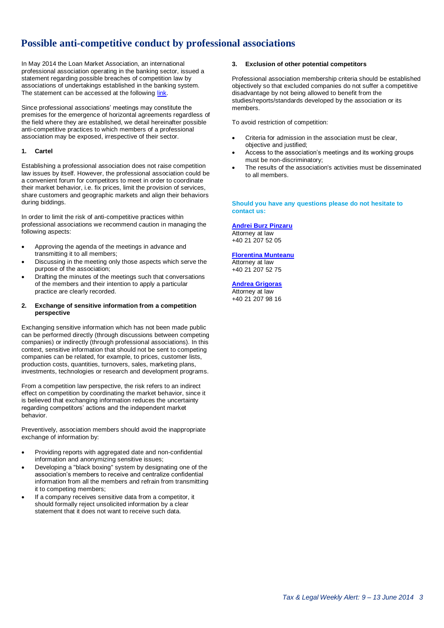## **Possible anti-competitive conduct by professional associations**

In May 2014 the Loan Market Association, an international professional association operating in the banking sector, issued a statement regarding possible breaches of competition law by associations of undertakings established in the banking system. The statement can be accessed at the following [link.](http://www.lma.eu.com/uploads/files/Competition%20Law_Loan%20Market%20Association%20note%20for%20members.pdf?utm_medium=email&utm_campaign=LMA%20May%202014%20Monthly%20Update&utm_content=LMA%20May%202014%20Monthly%20Update+CID_0d412306ba894d3eb21d68ce61a02147&utm_source=Campaign%20Monitor&utm_term=Click%20here)

Since professional associations' meetings may constitute the premises for the emergence of horizontal agreements regardless of the field where they are established, we detail hereinafter possible anti-competitive practices to which members of a professional association may be exposed, irrespective of their sector.

#### **1. Cartel**

Establishing a professional association does not raise competition law issues by itself. However, the professional association could be a convenient forum for competitors to meet in order to coordinate their market behavior, i.e. fix prices, limit the provision of services, share customers and geographic markets and align their behaviors during biddings.

In order to limit the risk of anti-competitive practices within professional associations we recommend caution in managing the following aspects:

- Approving the agenda of the meetings in advance and transmitting it to all members;
- Discussing in the meeting only those aspects which serve the purpose of the association;
- Drafting the minutes of the meetings such that conversations of the members and their intention to apply a particular practice are clearly recorded.
- **2. Exchange of sensitive information from a competition perspective**

Exchanging sensitive information which has not been made public can be performed directly (through discussions between competing companies) or indirectly (through professional associations). In this context, sensitive information that should not be sent to competing companies can be related, for example, to prices, customer lists, production costs, quantities, turnovers, sales, marketing plans, investments, technologies or research and development programs.

From a competition law perspective, the risk refers to an indirect effect on competition by coordinating the market behavior, since it is believed that exchanging information reduces the uncertainty regarding competitors' actions and the independent market behavior.

Preventively, association members should avoid the inappropriate exchange of information by:

- Providing reports with aggregated date and non-confidential information and anonymizing sensitive issues;
- Developing a "black boxing" system by designating one of the association's members to receive and centralize confidential information from all the members and refrain from transmitting it to competing members;
- If a company receives sensitive data from a competitor, it should formally reject unsolicited information by a clear statement that it does not want to receive such data.

#### <span id="page-2-0"></span>**3. Exclusion of other potential competitors**

Professional association membership criteria should be established objectively so that excluded companies do not suffer a competitive disadvantage by not being allowed to benefit from the studies/reports/standards developed by the association or its members.

To avoid restriction of competition:

- Criteria for admission in the association must be clear, objective and justified;
- Access to the association's meetings and its working groups must be non-discriminatory;
- The results of the association's activities must be disseminated to all members.

#### **Should you have any questions please do not hesitate to contact us:**

#### **[Andrei Burz Pinzaru](mailto:aburzpinzaru@deloittece.com)**

Attorney at law +40 21 207 52 05

#### **[Florentina Munteanu](mailto:fmunteanu@deloittece.com)**

Attorney at law +40 21 207 52 75

#### **[Andrea Grigoras](mailto:agrigoras@deloittece.com)**

Attorney at law +40 21 207 98 16